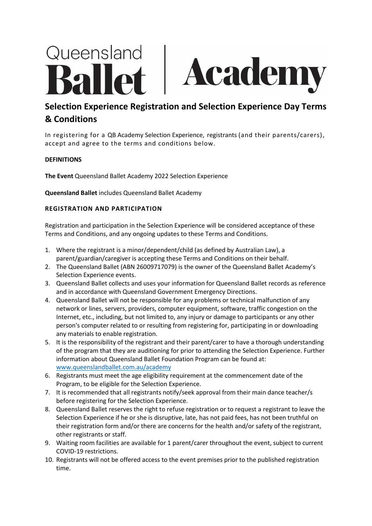# Queensland Academ

# **Selection Experience Registration and Selection Experience Day Terms & Conditions**

In registering for a QB Academy Selection Experience, registrants (and their parents/carers), accept and agree to the terms and conditions below.

# **DEFINITIONS**

**The Event** Queensland Ballet Academy 2022 Selection Experience

**Queensland Ballet** includes Queensland Ballet Academy

## **REGISTRATION AND PARTICIPATION**

Registration and participation in the Selection Experience will be considered acceptance of these Terms and Conditions, and any ongoing updates to these Terms and Conditions.

- 1. Where the registrant is a minor/dependent/child (as defined by Australian Law), a parent/guardian/caregiver is accepting these Terms and Conditions on their behalf.
- 2. The Queensland Ballet (ABN 26009717079) is the owner of the Queensland Ballet Academy's Selection Experience events.
- 3. Queensland Ballet collects and uses your information for Queensland Ballet records as reference and in accordance with Queensland Government Emergency Directions.
- 4. Queensland Ballet will not be responsible for any problems or technical malfunction of any network or lines, servers, providers, computer equipment, software, traffic congestion on the Internet, etc., including, but not limited to, any injury or damage to participants or any other person's computer related to or resulting from registering for, participating in or downloading any materials to enable registration.
- 5. It is the responsibility of the registrant and their parent/carer to have a thorough understanding of the program that they are auditioning for prior to attending the Selection Experience. Further information about Queensland Ballet Foundation Program can be found at: [www.queenslandballet.com.au/academy](http://www.queenslandballet.com.au/academy)
- 6. Registrants must meet the age eligibility requirement at the commencement date of the Program, to be eligible for the Selection Experience.
- 7. It is recommended that all registrants notify/seek approval from their main dance teacher/s before registering for the Selection Experience.
- 8. Queensland Ballet reserves the right to refuse registration or to request a registrant to leave the Selection Experience if he or she is disruptive, late, has not paid fees, has not been truthful on their registration form and/or there are concerns for the health and/or safety of the registrant, other registrants or staff.
- 9. Waiting room facilities are available for 1 parent/carer throughout the event, subject to current COVID-19 restrictions.
- 10. Registrants will not be offered access to the event premises prior to the published registration time.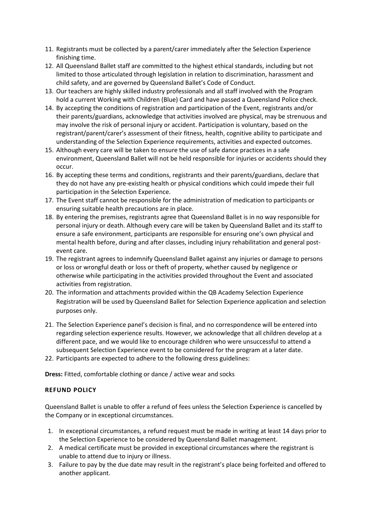- 11. Registrants must be collected by a parent/carer immediately after the Selection Experience finishing time.
- 12. All Queensland Ballet staff are committed to the highest ethical standards, including but not limited to those articulated through legislation in relation to discrimination, harassment and child safety, and are governed by Queensland Ballet's Code of Conduct.
- 13. Our teachers are highly skilled industry professionals and all staff involved with the Program hold a current Working with Children (Blue) Card and have passed a Queensland Police check.
- 14. By accepting the conditions of registration and participation of the Event, registrants and/or their parents/guardians, acknowledge that activities involved are physical, may be strenuous and may involve the risk of personal injury or accident. Participation is voluntary, based on the registrant/parent/carer's assessment of their fitness, health, cognitive ability to participate and understanding of the Selection Experience requirements, activities and expected outcomes.
- 15. Although every care will be taken to ensure the use of safe dance practices in a safe environment, Queensland Ballet will not be held responsible for injuries or accidents should they occur.
- 16. By accepting these terms and conditions, registrants and their parents/guardians, declare that they do not have any pre-existing health or physical conditions which could impede their full participation in the Selection Experience.
- 17. The Event staff cannot be responsible for the administration of medication to participants or ensuring suitable health precautions are in place.
- 18. By entering the premises, registrants agree that Queensland Ballet is in no way responsible for personal injury or death. Although every care will be taken by Queensland Ballet and its staff to ensure a safe environment, participants are responsible for ensuring one's own physical and mental health before, during and after classes, including injury rehabilitation and general postevent care.
- 19. The registrant agrees to indemnify Queensland Ballet against any injuries or damage to persons or loss or wrongful death or loss or theft of property, whether caused by negligence or otherwise while participating in the activities provided throughout the Event and associated activities from registration.
- 20. The information and attachments provided within the QB Academy Selection Experience Registration will be used by Queensland Ballet for Selection Experience application and selection purposes only.
- 21. The Selection Experience panel's decision is final, and no correspondence will be entered into regarding selection experience results. However, we acknowledge that all children develop at a different pace, and we would like to encourage children who were unsuccessful to attend a subsequent Selection Experience event to be considered for the program at a later date.
- 22. Participants are expected to adhere to the following dress guidelines:

**Dress:** Fitted, comfortable clothing or dance / active wear and socks

## **REFUND POLICY**

Queensland Ballet is unable to offer a refund of fees unless the Selection Experience is cancelled by the Company or in exceptional circumstances.

- 1. In exceptional circumstances, a refund request must be made in writing at least 14 days prior to the Selection Experience to be considered by Queensland Ballet management.
- 2. A medical certificate must be provided in exceptional circumstances where the registrant is unable to attend due to injury or illness.
- 3. Failure to pay by the due date may result in the registrant's place being forfeited and offered to another applicant.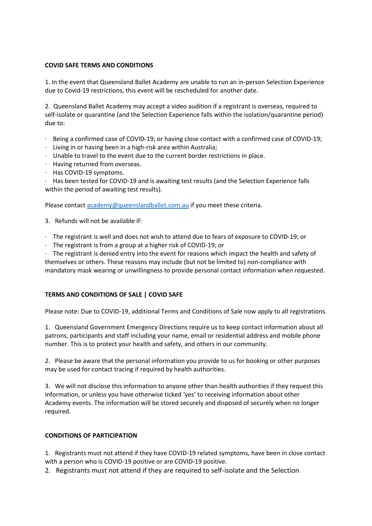#### **COVID SAFE TERMS AND CONDITIONS**

1. In the event that Queensland Ballet Academy are unable to run an in-person Selection Experience due to Covid-19 restrictions, this event will be rescheduled for another date.

2. Queensland Ballet Academy may accept a video audition if a registrant is overseas, required to self-isolate or quarantine (and the Selection Experience falls within the isolation/quarantine period) due to:

- · Being a confirmed case of COVID-19; or having close contact with a confirmed case of COVID-19;
- · Living in or having been in a high-risk area within Australia;
- · Unable to travel to the event due to the current border restrictions in place.
- · Having returned from overseas.
- · Has COVID-19 symptoms.

· Has been tested for COVID-19 and is awaiting test results (and the Selection Experience falls within the period of awaiting test results).

Please contact **academy@queenslandballet.com.au if you meet these criteria.** 

- 3. Refunds will not be available if:
- · The registrant is well and does not wish to attend due to fears of exposure to COVID-19; or
- · The registrant is from a group at a higher risk of COVID-19; or

· The registrant is denied entry into the event for reasons which impact the health and safety of themselves or others. These reasons may include (but not be limited to) non-compliance with mandatory mask wearing or unwillingness to provide personal contact information when requested.

## **TERMS AND CONDITIONS OF SALE | COVID SAFE**

Please note: Due to COVID-19, additional Terms and Conditions of Sale now apply to all registrations.

1. Queensland Government Emergency Directions require us to keep contact information about all patrons, participants and staff including your name, email or residential address and mobile phone number. This is to protect your health and safety, and others in our community.

2. Please be aware that the personal information you provide to us for booking or other purposes may be used for contact tracing if required by health authorities.

3. We will not disclose this information to anyone other than health authorities if they request this information, or unless you have otherwise ticked 'yes' to receiving information about other Academy events. The information will be stored securely and disposed of securely when no longer required.

#### **CONDITIONS OF PARTICIPATION**

1. Registrants must not attend if they have COVID-19 related symptoms, have been in close contact with a person who is COVID-19 positive or are COVID-19 positive.

2. Registrants must not attend if they are required to self-isolate and the Selection